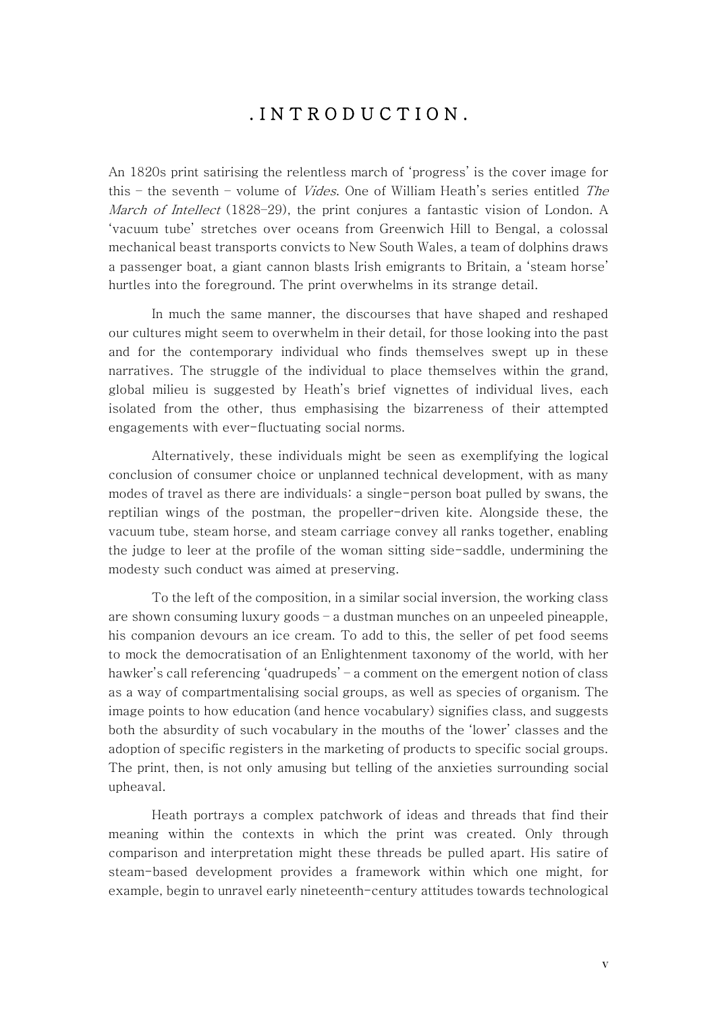## . I N T R O D U C T I O N .

An 1820s print satirising the relentless march of 'progress' is the cover image for this – the seventh – volume of *Vides*. One of William Heath's series entitled *The* March of Intellect (1828–29), the print conjures a fantastic vision of London. A 'vacuum tube' stretches over oceans from Greenwich Hill to Bengal, a colossal mechanical beast transports convicts to New South Wales, a team of dolphins draws a passenger boat, a giant cannon blasts Irish emigrants to Britain, a 'steam horse' hurtles into the foreground. The print overwhelms in its strange detail.

In much the same manner, the discourses that have shaped and reshaped our cultures might seem to overwhelm in their detail, for those looking into the past and for the contemporary individual who finds themselves swept up in these narratives. The struggle of the individual to place themselves within the grand, global milieu is suggested by Heath's brief vignettes of individual lives, each isolated from the other, thus emphasising the bizarreness of their attempted engagements with ever-fluctuating social norms.

Alternatively, these individuals might be seen as exemplifying the logical conclusion of consumer choice or unplanned technical development, with as many modes of travel as there are individuals: a single-person boat pulled by swans, the reptilian wings of the postman, the propeller-driven kite. Alongside these, the vacuum tube, steam horse, and steam carriage convey all ranks together, enabling the judge to leer at the profile of the woman sitting side-saddle, undermining the modesty such conduct was aimed at preserving.

To the left of the composition, in a similar social inversion, the working class are shown consuming luxury goods  $-$  a dustman munches on an unpeeled pineapple, his companion devours an ice cream. To add to this, the seller of pet food seems to mock the democratisation of an Enlightenment taxonomy of the world, with her hawker's call referencing 'quadrupeds' – a comment on the emergent notion of class as a way of compartmentalising social groups, as well as species of organism. The image points to how education (and hence vocabulary) signifies class, and suggests both the absurdity of such vocabulary in the mouths of the 'lower' classes and the adoption of specific registers in the marketing of products to specific social groups. The print, then, is not only amusing but telling of the anxieties surrounding social upheaval.

Heath portrays a complex patchwork of ideas and threads that find their meaning within the contexts in which the print was created. Only through comparison and interpretation might these threads be pulled apart. His satire of steam-based development provides a framework within which one might, for example, begin to unravel early nineteenth-century attitudes towards technological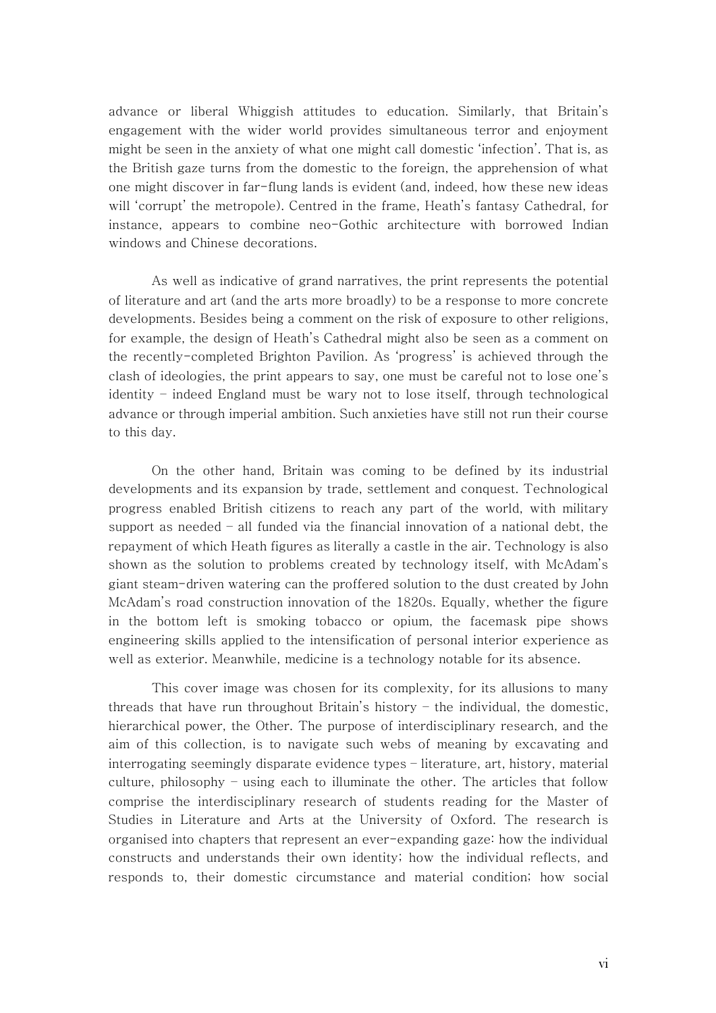advance or liberal Whiggish attitudes to education. Similarly, that Britain's engagement with the wider world provides simultaneous terror and enjoyment might be seen in the anxiety of what one might call domestic 'infection'. That is, as the British gaze turns from the domestic to the foreign, the apprehension of what one might discover in far-flung lands is evident (and, indeed, how these new ideas will 'corrupt' the metropole). Centred in the frame, Heath's fantasy Cathedral, for instance, appears to combine neo-Gothic architecture with borrowed Indian windows and Chinese decorations.

As well as indicative of grand narratives, the print represents the potential of literature and art (and the arts more broadly) to be a response to more concrete developments. Besides being a comment on the risk of exposure to other religions, for example, the design of Heath's Cathedral might also be seen as a comment on the recently-completed Brighton Pavilion. As 'progress' is achieved through the clash of ideologies, the print appears to say, one must be careful not to lose one's identity – indeed England must be wary not to lose itself, through technological advance or through imperial ambition. Such anxieties have still not run their course to this day.

On the other hand, Britain was coming to be defined by its industrial developments and its expansion by trade, settlement and conquest. Technological progress enabled British citizens to reach any part of the world, with military support as needed – all funded via the financial innovation of a national debt, the repayment of which Heath figures as literally a castle in the air. Technology is also shown as the solution to problems created by technology itself, with McAdam's giant steam-driven watering can the proffered solution to the dust created by John McAdam's road construction innovation of the 1820s. Equally, whether the figure in the bottom left is smoking tobacco or opium, the facemask pipe shows engineering skills applied to the intensification of personal interior experience as well as exterior. Meanwhile, medicine is a technology notable for its absence.

This cover image was chosen for its complexity, for its allusions to many threads that have run throughout Britain's history – the individual, the domestic, hierarchical power, the Other. The purpose of interdisciplinary research, and the aim of this collection, is to navigate such webs of meaning by excavating and interrogating seemingly disparate evidence types – literature, art, history, material culture, philosophy – using each to illuminate the other. The articles that follow comprise the interdisciplinary research of students reading for the Master of Studies in Literature and Arts at the University of Oxford. The research is organised into chapters that represent an ever-expanding gaze: how the individual constructs and understands their own identity; how the individual reflects, and responds to, their domestic circumstance and material condition; how social